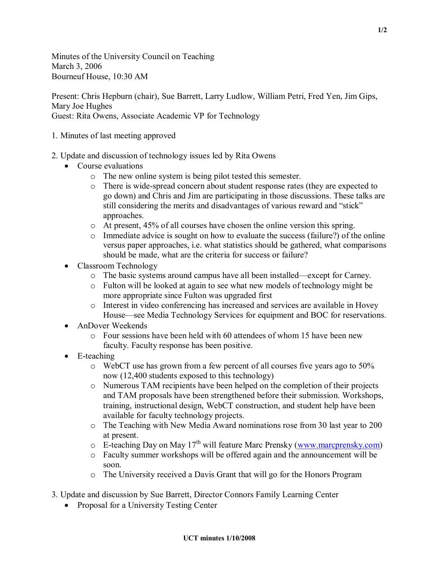Minutes of the University Council on Teaching March 3, 2006 Bourneuf House, 10:30 AM

Present: Chris Hepburn (chair), Sue Barrett, Larry Ludlow, William Petri, Fred Yen, Jim Gips, Mary Joe Hughes Guest: Rita Owens, Associate Academic VP for Technology

- 1. Minutes of last meeting approved
- 2. Update and discussion of technology issues led by Rita Owens
	- Course evaluations
		- o The new online system is being pilot tested this semester.
		- o There is wide-spread concern about student response rates (they are expected to go down) and Chris and Jim are participating in those discussions. These talks are still considering the merits and disadvantages of various reward and "stick" approaches.
		- o At present, 45% of all courses have chosen the online version this spring.
		- $\circ$  Immediate advice is sought on how to evaluate the success (failure?) of the online versus paper approaches, i.e. what statistics should be gathered, what comparisons should be made, what are the criteria for success or failure?
	- · Classroom Technology
		- o The basic systems around campus have all been installed—except for Carney.
		- o Fulton will be looked at again to see what new models of technology might be more appropriate since Fulton was upgraded first
		- o Interest in video conferencing has increased and services are available in Hovey House—see Media Technology Services for equipment and BOC for reservations.
	- AnDover Weekends
		- $\circ$  Four sessions have been held with 60 attendees of whom 15 have been new faculty. Faculty response has been positive.
	- $\bullet$  E-teaching
		- o WebCT use has grown from a few percent of all courses five years ago to 50% now (12,400 students exposed to this technology)
		- o Numerous TAM recipients have been helped on the completion of their projects and TAM proposals have been strengthened before their submission. Workshops, training, instructional design, WebCT construction, and student help have been available for faculty technology projects.
		- o The Teaching with New Media Award nominations rose from 30 last year to 200 at present.
		- o E-teaching Day on May 17<sup>th</sup> will feature Marc Prensky ([www.marcprensky.com\)](http://www.marcprensky.com/)
		- o Faculty summer workshops will be offered again and the announcement will be soon.
		- o The University received a Davis Grant that will go for the Honors Program
- 3. Update and discussion by Sue Barrett, Director Connors Family Learning Center
	- Proposal for a University Testing Center